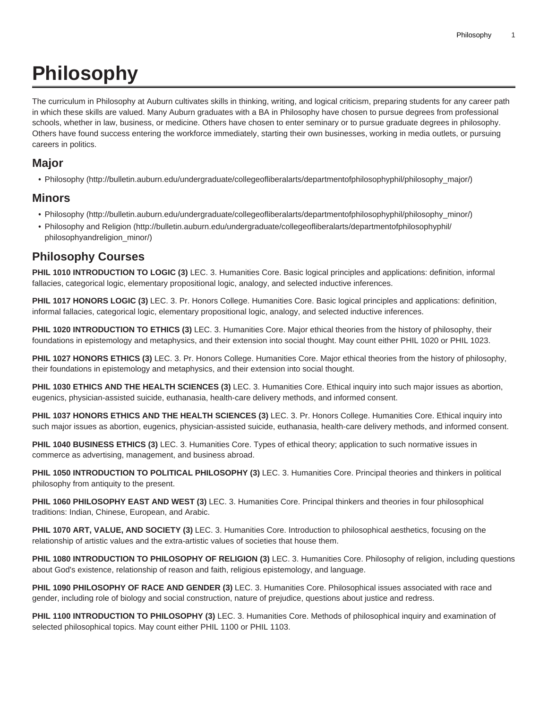# **Philosophy**

The curriculum in Philosophy at Auburn cultivates skills in thinking, writing, and logical criticism, preparing students for any career path in which these skills are valued. Many Auburn graduates with a BA in Philosophy have chosen to pursue degrees from professional schools, whether in law, business, or medicine. Others have chosen to enter seminary or to pursue graduate degrees in philosophy. Others have found success entering the workforce immediately, starting their own businesses, working in media outlets, or pursuing careers in politics.

#### **Major**

• [Philosophy](http://bulletin.auburn.edu/undergraduate/collegeofliberalarts/departmentofphilosophyphil/philosophy_major/) ([http://bulletin.auburn.edu/undergraduate/collegeofliberalarts/departmentofphilosophyphil/philosophy\\_major/](http://bulletin.auburn.edu/undergraduate/collegeofliberalarts/departmentofphilosophyphil/philosophy_major/))

#### **Minors**

- [Philosophy](http://bulletin.auburn.edu/undergraduate/collegeofliberalarts/departmentofphilosophyphil/philosophy_minor/) ([http://bulletin.auburn.edu/undergraduate/collegeofliberalarts/departmentofphilosophyphil/philosophy\\_minor/](http://bulletin.auburn.edu/undergraduate/collegeofliberalarts/departmentofphilosophyphil/philosophy_minor/))
- [Philosophy and Religion \(http://bulletin.auburn.edu/undergraduate/collegeofliberalarts/departmentofphilosophyphil/](http://bulletin.auburn.edu/undergraduate/collegeofliberalarts/departmentofphilosophyphil/philosophyandreligion_minor/) [philosophyandreligion\\_minor/](http://bulletin.auburn.edu/undergraduate/collegeofliberalarts/departmentofphilosophyphil/philosophyandreligion_minor/))

### **Philosophy Courses**

**PHIL 1010 INTRODUCTION TO LOGIC (3)** LEC. 3. Humanities Core. Basic logical principles and applications: definition, informal fallacies, categorical logic, elementary propositional logic, analogy, and selected inductive inferences.

**PHIL 1017 HONORS LOGIC (3)** LEC. 3. Pr. Honors College. Humanities Core. Basic logical principles and applications: definition, informal fallacies, categorical logic, elementary propositional logic, analogy, and selected inductive inferences.

**PHIL 1020 INTRODUCTION TO ETHICS (3)** LEC. 3. Humanities Core. Major ethical theories from the history of philosophy, their foundations in epistemology and metaphysics, and their extension into social thought. May count either PHIL 1020 or PHIL 1023.

**PHIL 1027 HONORS ETHICS (3)** LEC. 3. Pr. Honors College. Humanities Core. Major ethical theories from the history of philosophy, their foundations in epistemology and metaphysics, and their extension into social thought.

**PHIL 1030 ETHICS AND THE HEALTH SCIENCES (3)** LEC. 3. Humanities Core. Ethical inquiry into such major issues as abortion, eugenics, physician-assisted suicide, euthanasia, health-care delivery methods, and informed consent.

**PHIL 1037 HONORS ETHICS AND THE HEALTH SCIENCES (3)** LEC. 3. Pr. Honors College. Humanities Core. Ethical inquiry into such major issues as abortion, eugenics, physician-assisted suicide, euthanasia, health-care delivery methods, and informed consent.

**PHIL 1040 BUSINESS ETHICS (3)** LEC. 3. Humanities Core. Types of ethical theory; application to such normative issues in commerce as advertising, management, and business abroad.

**PHIL 1050 INTRODUCTION TO POLITICAL PHILOSOPHY (3)** LEC. 3. Humanities Core. Principal theories and thinkers in political philosophy from antiquity to the present.

**PHIL 1060 PHILOSOPHY EAST AND WEST (3)** LEC. 3. Humanities Core. Principal thinkers and theories in four philosophical traditions: Indian, Chinese, European, and Arabic.

**PHIL 1070 ART, VALUE, AND SOCIETY (3)** LEC. 3. Humanities Core. Introduction to philosophical aesthetics, focusing on the relationship of artistic values and the extra-artistic values of societies that house them.

**PHIL 1080 INTRODUCTION TO PHILOSOPHY OF RELIGION (3)** LEC. 3. Humanities Core. Philosophy of religion, including questions about God's existence, relationship of reason and faith, religious epistemology, and language.

**PHIL 1090 PHILOSOPHY OF RACE AND GENDER (3)** LEC. 3. Humanities Core. Philosophical issues associated with race and gender, including role of biology and social construction, nature of prejudice, questions about justice and redress.

**PHIL 1100 INTRODUCTION TO PHILOSOPHY (3)** LEC. 3. Humanities Core. Methods of philosophical inquiry and examination of selected philosophical topics. May count either PHIL 1100 or PHIL 1103.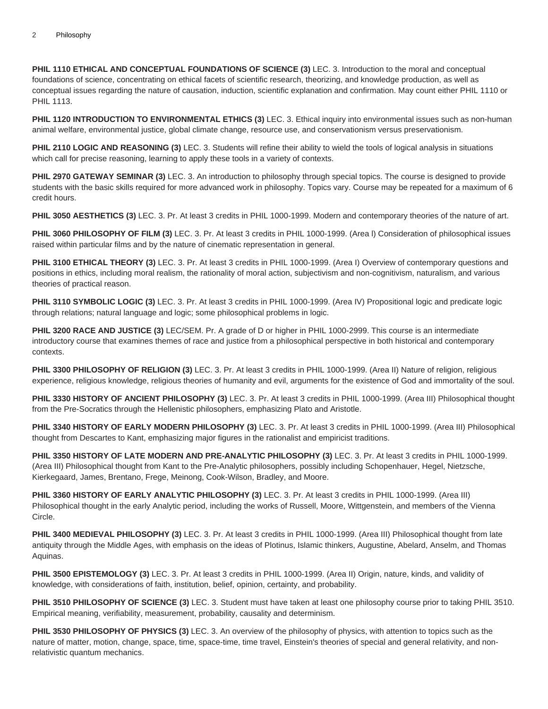**PHIL 1110 ETHICAL AND CONCEPTUAL FOUNDATIONS OF SCIENCE (3)** LEC. 3. Introduction to the moral and conceptual foundations of science, concentrating on ethical facets of scientific research, theorizing, and knowledge production, as well as conceptual issues regarding the nature of causation, induction, scientific explanation and confirmation. May count either PHIL 1110 or PHIL 1113.

**PHIL 1120 INTRODUCTION TO ENVIRONMENTAL ETHICS (3)** LEC. 3. Ethical inquiry into environmental issues such as non-human animal welfare, environmental justice, global climate change, resource use, and conservationism versus preservationism.

**PHIL 2110 LOGIC AND REASONING (3)** LEC. 3. Students will refine their ability to wield the tools of logical analysis in situations which call for precise reasoning, learning to apply these tools in a variety of contexts.

**PHIL 2970 GATEWAY SEMINAR (3)** LEC. 3. An introduction to philosophy through special topics. The course is designed to provide students with the basic skills required for more advanced work in philosophy. Topics vary. Course may be repeated for a maximum of 6 credit hours.

**PHIL 3050 AESTHETICS (3)** LEC. 3. Pr. At least 3 credits in PHIL 1000-1999. Modern and contemporary theories of the nature of art.

**PHIL 3060 PHILOSOPHY OF FILM (3)** LEC. 3. Pr. At least 3 credits in PHIL 1000-1999. (Area l) Consideration of philosophical issues raised within particular films and by the nature of cinematic representation in general.

**PHIL 3100 ETHICAL THEORY (3)** LEC. 3. Pr. At least 3 credits in PHIL 1000-1999. (Area I) Overview of contemporary questions and positions in ethics, including moral realism, the rationality of moral action, subjectivism and non-cognitivism, naturalism, and various theories of practical reason.

**PHIL 3110 SYMBOLIC LOGIC (3)** LEC. 3. Pr. At least 3 credits in PHIL 1000-1999. (Area IV) Propositional logic and predicate logic through relations; natural language and logic; some philosophical problems in logic.

**PHIL 3200 RACE AND JUSTICE (3)** LEC/SEM. Pr. A grade of D or higher in PHIL 1000-2999. This course is an intermediate introductory course that examines themes of race and justice from a philosophical perspective in both historical and contemporary contexts.

**PHIL 3300 PHILOSOPHY OF RELIGION (3)** LEC. 3. Pr. At least 3 credits in PHIL 1000-1999. (Area II) Nature of religion, religious experience, religious knowledge, religious theories of humanity and evil, arguments for the existence of God and immortality of the soul.

**PHIL 3330 HISTORY OF ANCIENT PHILOSOPHY (3)** LEC. 3. Pr. At least 3 credits in PHIL 1000-1999. (Area III) Philosophical thought from the Pre-Socratics through the Hellenistic philosophers, emphasizing Plato and Aristotle.

**PHIL 3340 HISTORY OF EARLY MODERN PHILOSOPHY (3)** LEC. 3. Pr. At least 3 credits in PHIL 1000-1999. (Area III) Philosophical thought from Descartes to Kant, emphasizing major figures in the rationalist and empiricist traditions.

**PHIL 3350 HISTORY OF LATE MODERN AND PRE-ANALYTIC PHILOSOPHY (3)** LEC. 3. Pr. At least 3 credits in PHIL 1000-1999. (Area III) Philosophical thought from Kant to the Pre-Analytic philosophers, possibly including Schopenhauer, Hegel, Nietzsche, Kierkegaard, James, Brentano, Frege, Meinong, Cook-Wilson, Bradley, and Moore.

**PHIL 3360 HISTORY OF EARLY ANALYTIC PHILOSOPHY (3)** LEC. 3. Pr. At least 3 credits in PHIL 1000-1999. (Area III) Philosophical thought in the early Analytic period, including the works of Russell, Moore, Wittgenstein, and members of the Vienna Circle.

**PHIL 3400 MEDIEVAL PHILOSOPHY (3)** LEC. 3. Pr. At least 3 credits in PHIL 1000-1999. (Area III) Philosophical thought from late antiquity through the Middle Ages, with emphasis on the ideas of Plotinus, Islamic thinkers, Augustine, Abelard, Anselm, and Thomas Aquinas.

**PHIL 3500 EPISTEMOLOGY (3)** LEC. 3. Pr. At least 3 credits in PHIL 1000-1999. (Area II) Origin, nature, kinds, and validity of knowledge, with considerations of faith, institution, belief, opinion, certainty, and probability.

**PHIL 3510 PHILOSOPHY OF SCIENCE (3)** LEC. 3. Student must have taken at least one philosophy course prior to taking PHIL 3510. Empirical meaning, verifiability, measurement, probability, causality and determinism.

**PHIL 3530 PHILOSOPHY OF PHYSICS (3)** LEC. 3. An overview of the philosophy of physics, with attention to topics such as the nature of matter, motion, change, space, time, space-time, time travel, Einstein's theories of special and general relativity, and nonrelativistic quantum mechanics.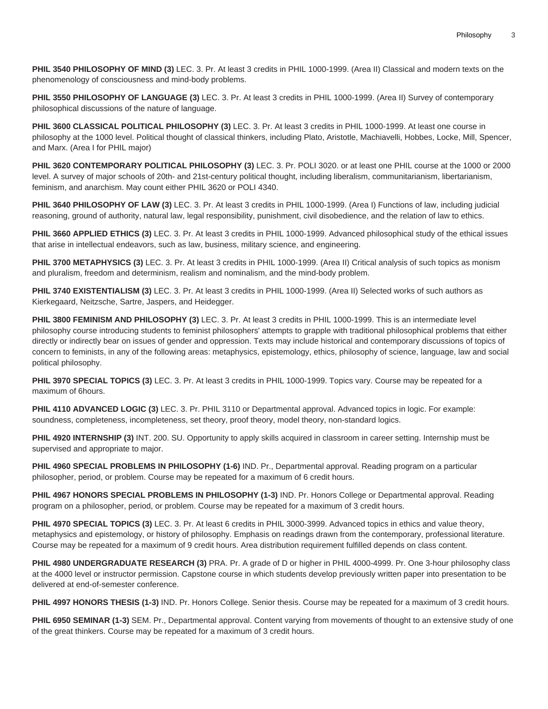**PHIL 3540 PHILOSOPHY OF MIND (3)** LEC. 3. Pr. At least 3 credits in PHIL 1000-1999. (Area II) Classical and modern texts on the phenomenology of consciousness and mind-body problems.

**PHIL 3550 PHILOSOPHY OF LANGUAGE (3)** LEC. 3. Pr. At least 3 credits in PHIL 1000-1999. (Area II) Survey of contemporary philosophical discussions of the nature of language.

**PHIL 3600 CLASSICAL POLITICAL PHILOSOPHY (3)** LEC. 3. Pr. At least 3 credits in PHIL 1000-1999. At least one course in philosophy at the 1000 level. Political thought of classical thinkers, including Plato, Aristotle, Machiavelli, Hobbes, Locke, Mill, Spencer, and Marx. (Area I for PHIL major)

**PHIL 3620 CONTEMPORARY POLITICAL PHILOSOPHY (3)** LEC. 3. Pr. POLI 3020. or at least one PHIL course at the 1000 or 2000 level. A survey of major schools of 20th- and 21st-century political thought, including liberalism, communitarianism, libertarianism, feminism, and anarchism. May count either PHIL 3620 or POLI 4340.

**PHIL 3640 PHILOSOPHY OF LAW (3)** LEC. 3. Pr. At least 3 credits in PHIL 1000-1999. (Area I) Functions of law, including judicial reasoning, ground of authority, natural law, legal responsibility, punishment, civil disobedience, and the relation of law to ethics.

**PHIL 3660 APPLIED ETHICS (3)** LEC. 3. Pr. At least 3 credits in PHIL 1000-1999. Advanced philosophical study of the ethical issues that arise in intellectual endeavors, such as law, business, military science, and engineering.

**PHIL 3700 METAPHYSICS (3)** LEC. 3. Pr. At least 3 credits in PHIL 1000-1999. (Area II) Critical analysis of such topics as monism and pluralism, freedom and determinism, realism and nominalism, and the mind-body problem.

**PHIL 3740 EXISTENTIALISM (3)** LEC. 3. Pr. At least 3 credits in PHIL 1000-1999. (Area II) Selected works of such authors as Kierkegaard, Neitzsche, Sartre, Jaspers, and Heidegger.

**PHIL 3800 FEMINISM AND PHILOSOPHY (3)** LEC. 3. Pr. At least 3 credits in PHIL 1000-1999. This is an intermediate level philosophy course introducing students to feminist philosophers' attempts to grapple with traditional philosophical problems that either directly or indirectly bear on issues of gender and oppression. Texts may include historical and contemporary discussions of topics of concern to feminists, in any of the following areas: metaphysics, epistemology, ethics, philosophy of science, language, law and social political philosophy.

**PHIL 3970 SPECIAL TOPICS (3)** LEC. 3. Pr. At least 3 credits in PHIL 1000-1999. Topics vary. Course may be repeated for a maximum of 6hours.

**PHIL 4110 ADVANCED LOGIC (3)** LEC. 3. Pr. PHIL 3110 or Departmental approval. Advanced topics in logic. For example: soundness, completeness, incompleteness, set theory, proof theory, model theory, non-standard logics.

**PHIL 4920 INTERNSHIP (3)** INT. 200. SU. Opportunity to apply skills acquired in classroom in career setting. Internship must be supervised and appropriate to major.

**PHIL 4960 SPECIAL PROBLEMS IN PHILOSOPHY (1-6)** IND. Pr., Departmental approval. Reading program on a particular philosopher, period, or problem. Course may be repeated for a maximum of 6 credit hours.

**PHIL 4967 HONORS SPECIAL PROBLEMS IN PHILOSOPHY (1-3)** IND. Pr. Honors College or Departmental approval. Reading program on a philosopher, period, or problem. Course may be repeated for a maximum of 3 credit hours.

**PHIL 4970 SPECIAL TOPICS (3)** LEC. 3. Pr. At least 6 credits in PHIL 3000-3999. Advanced topics in ethics and value theory, metaphysics and epistemology, or history of philosophy. Emphasis on readings drawn from the contemporary, professional literature. Course may be repeated for a maximum of 9 credit hours. Area distribution requirement fulfilled depends on class content.

**PHIL 4980 UNDERGRADUATE RESEARCH (3)** PRA. Pr. A grade of D or higher in PHIL 4000-4999. Pr. One 3-hour philosophy class at the 4000 level or instructor permission. Capstone course in which students develop previously written paper into presentation to be delivered at end-of-semester conference.

**PHIL 4997 HONORS THESIS (1-3)** IND. Pr. Honors College. Senior thesis. Course may be repeated for a maximum of 3 credit hours.

**PHIL 6950 SEMINAR (1-3)** SEM. Pr., Departmental approval. Content varying from movements of thought to an extensive study of one of the great thinkers. Course may be repeated for a maximum of 3 credit hours.